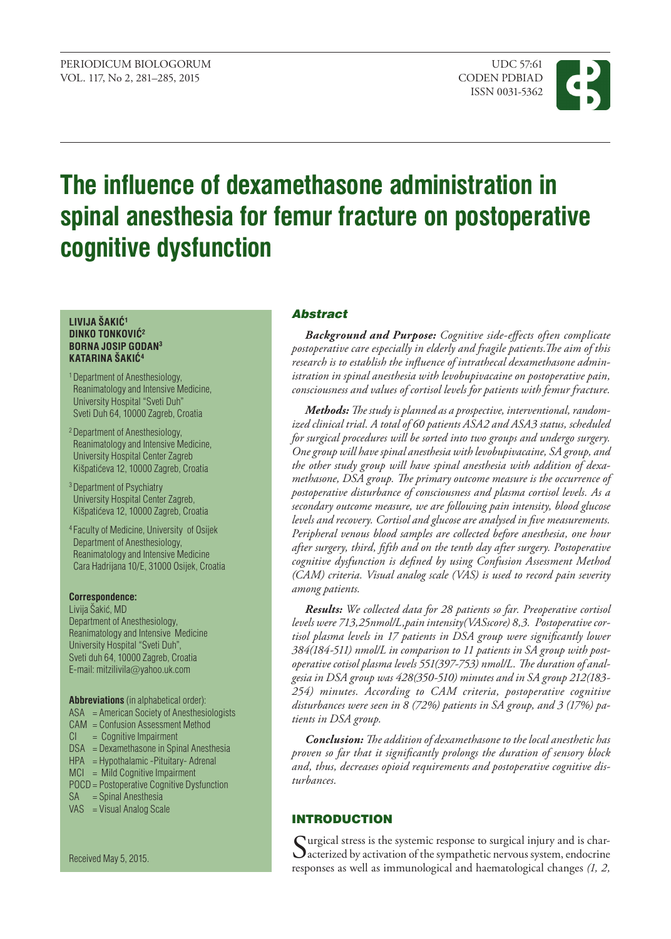

# **The influence of dexamethasone administration in spinal anesthesia for femur fracture on postoperative cognitive dysfunction**

#### **LIVIJA ŠAKIĆ<sup>1</sup> DINKO TONKOVIĆ<sup>2</sup> BORNA JOSIP GODAN3 KATARINA ŠAKIĆ<sup>4</sup>**

- 1 Department of Anesthesiology, Reanimatology and Intensive Medicine, University Hospital "Sveti Duh" Sveti Duh 64, 10000 Zagreb, Croatia
- 2 Department of Anesthesiology, Reanimatology and Intensive Medicine, University Hospital Center Zagreb Kišpatićeva 12, 10000 Zagreb, Croatia
- 3 Department of Psychiatry University Hospital Center Zagreb, Kišpatićeva 12, 10000 Zagreb, Croatia
- 4 Faculty of Medicine, University of Osijek Department of Anesthesiology, Reanimatology and Intensive Medicine Cara Hadrijana 10/E, 31000 Osijek, Croatia

#### **Correspondence:**

Livija Šakić, MD Department of Anesthesiology, Reanimatology and Intensive Medicine University Hospital "Sveti Duh", Sveti duh 64, 10000 Zagreb, Croatia E-mail: mitzilivila@[yahoo.uk.com](mailto:mitzilivila@yahoo.uk.com)

**Abbreviations** (in alphabetical order): ASA = American Society of Anesthesiologists

- CAM = Confusion Assessment Method
- $CI = Cognitive Impairment$
- DSA = Dexamethasone in Spinal Anesthesia
- HPA = Hypothalamic -Pituitary- Adrenal
- MCI = Mild Cognitive Impairment
- POCD = Postoperative Cognitive Dysfunction
- SA = Spinal Anesthesia
- VAS = Visual Analog Scale

Received May 5, 2015.

# Abstract

*Background and purpose: Cognitive side-effects often complicate postoperative care especially in elderly and fragile patients.The aim of this research is to establish the influence of intrathecal dexamethasone administration in spinal anesthesia with levobupivacaine on postoperative pain, consciousness and values of cortisol levels for patients with femur fracture.*

*Methods: The study is planned as a prospective, interventional, randomized clinical trial. A total of 60 patients ASA2 and ASA3 status, scheduled for surgical procedures will be sorted into two groups and undergo surgery. One group will have spinal anesthesia with levobupivacaine, SA group, and the other study group will have spinal anesthesia with addition of dexamethasone, DSA group. The primary outcome measure is the occurrence of postoperative disturbance of consciousness and plasma cortisol levels. As a secondary outcome measure, we are following pain intensity, blood glucose levels and recovery. Cortisol and glucose are analysed in five measurements. Peripheral venous blood samples are collected before anesthesia, one hour after surgery, third, fifth and on the tenth day after surgery. Postoperative cognitive dysfunction is defined by using Confusion Assessment Method (CAM) criteria. Visual analog scale (VAS) is used to record pain severity among patients.* 

*Results: We collected data for 28 patients so far. Preoperative cortisol levels were 713,25nmol/L,pain intensity(VASscore) 8,3. Postoperative cortisol plasma levels in 17 patients in DSA group were significantly lower 384(184-511) nmol/L in comparison to 11 patients in SA group with postoperative cotisol plasma levels 551(397-753) nmol/L. The duration of analgesia in DSA group was 428(350-510) minutes and in SA group 212(183- 254) minutes. According to CAM criteria, postoperative cognitive disturbances were seen in 8 (72%) patients in SA group, and 3 (17%) patients in DSA group.*

*Conclusion: The addition of dexamethasone to the local anesthetic has proven so far that it significantly prolongs the duration of sensory block and, thus, decreases opioid requirements and postoperative cognitive disturbances.*

# INTRODUCTION

Surgical stress is the systemic response to surgical injury and is char-<br>acterized by activation of the sympathetic nervous system, endocrine responses as well as immunological and haematological changes *(1, 2,*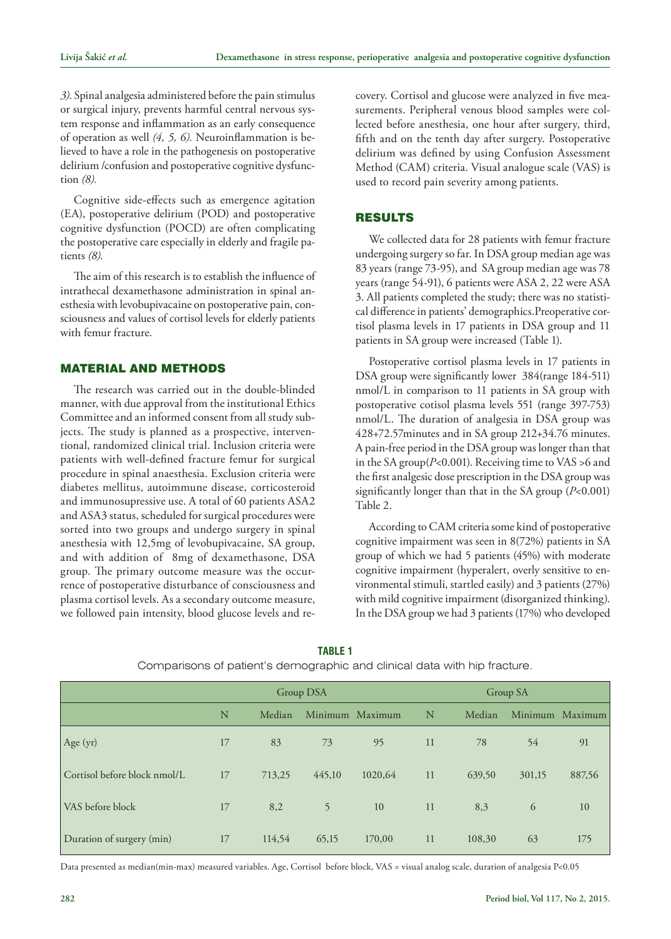*3)*. Spinal analgesia administered before the pain stimulus or surgical injury, prevents harmful central nervous system response and inflammation as an early consequence of operation as well *(4, 5, 6).* Neuroinflammation is believed to have a role in the pathogenesis on postoperative delirium /confusion and postoperative cognitive dysfunction *(8).*

Cognitive side-effects such as emergence agitation (EA), postoperative delirium (POD) and postoperative cognitive dysfunction (POCD) are often complicating the postoperative care especially in elderly and fragile patients *(8).*

The aim of this research is to establish the influence of intrathecal dexamethasone administration in spinal anesthesia with levobupivacaine on postoperative pain, consciousness and values of cortisol levels for elderly patients with femur fracture.

# MATERIAL AND METHODS

The research was carried out in the double-blinded manner, with due approval from the institutional Ethics Committee and an informed consent from all study subjects. The study is planned as a prospective, interventional, randomized clinical trial. Inclusion criteria were patients with well-defined fracture femur for surgical procedure in spinal anaesthesia. Exclusion criteria were diabetes mellitus, autoimmune disease, corticosteroid and immunosupressive use. A total of 60 patients ASA2 and ASA3 status, scheduled for surgical procedures were sorted into two groups and undergo surgery in spinal anesthesia with 12,5mg of levobupivacaine, SA group, and with addition of 8mg of dexamethasone, DSA group. The primary outcome measure was the occurrence of postoperative disturbance of consciousness and plasma cortisol levels. As a secondary outcome measure, we followed pain intensity, blood glucose levels and recovery. Cortisol and glucose were analyzed in five measurements. Peripheral venous blood samples were collected before anesthesia, one hour after surgery, third, fifth and on the tenth day after surgery. Postoperative delirium was defined by using Confusion Assessment Method (CAM) criteria. Visual analogue scale (VAS) is used to record pain severity among patients.

## RESULTS

We collected data for 28 patients with femur fracture undergoing surgery so far. In DSA group median age was 83 years (range 73-95), and SA group median age was 78 years (range 54-91), 6 patients were ASA 2, 22 were ASA 3. All patients completed the study; there was no statistical difference in patients' demographics.Preoperative cortisol plasma levels in 17 patients in DSA group and 11 patients in SA group were increased (Table 1).

Postoperative cortisol plasma levels in 17 patients in DSA group were significantly lower 384(range 184-511) nmol/L in comparison to 11 patients in SA group with postoperative cotisol plasma levels 551 (range 397-753) nmol/L. The duration of analgesia in DSA group was 428+72.57minutes and in SA group 212+34.76 minutes. A pain-free period in the DSA group was longer than that in the SA group(*P*<0.001). Receiving time to VAS >6 and the first analgesic dose prescription in the DSA group was significantly longer than that in the SA group (*P*<0.001) Table 2.

According to CAM criteria some kind of postoperative cognitive impairment was seen in 8(72%) patients in SA group of which we had 5 patients (45%) with moderate cognitive impairment (hyperalert, overly sensitive to environmental stimuli, startled easily) and 3 patients (27%) with mild cognitive impairment (disorganized thinking). In the DSA group we had 3 patients (17%) who developed

|                              | Group DSA |        |        |                 | Group SA |        |        |                 |
|------------------------------|-----------|--------|--------|-----------------|----------|--------|--------|-----------------|
|                              | N         | Median |        | Minimum Maximum | N        | Median |        | Minimum Maximum |
| Age (yr)                     | 17        | 83     | 73     | 95              | 11       | 78     | 54     | 91              |
| Cortisol before block nmol/L | 17        | 713,25 | 445,10 | 1020,64         | 11       | 639,50 | 301,15 | 887,56          |
| VAS before block             | 17        | 8,2    | 5      | 10              | 11       | 8,3    | 6      | 10              |
| Duration of surgery (min)    | 17        | 114,54 | 65,15  | 170,00          | 11       | 108,30 | 63     | 175             |

**Table 1** Comparisons of patient's demographic and clinical data with hip fracture.

Data presented as median(min-max) measured variables. Age, Cortisol before block, VAS = visual analog scale, duration of analgesia P<0.05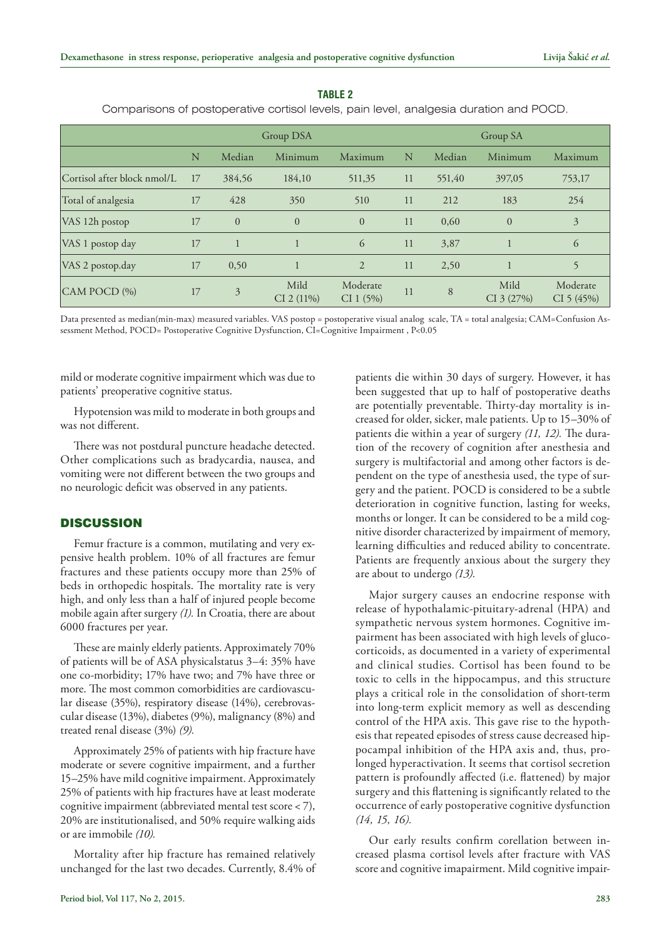|                             | Group DSA |                |                      |                       |    | Group SA |                    |                       |  |
|-----------------------------|-----------|----------------|----------------------|-----------------------|----|----------|--------------------|-----------------------|--|
|                             | N         | Median         | Minimum              | Maximum               | N  | Median   | Minimum            | Maximum               |  |
| Cortisol after block nmol/L | 17        | 384,56         | 184,10               | 511,35                | 11 | 551,40   | 397,05             | 753,17                |  |
| Total of analgesia          | 17        | 428            | 350                  | 510                   | 11 | 212      | 183                | 254                   |  |
| VAS 12h postop              | 17        | $\overline{0}$ | $\overline{0}$       | $\Omega$              | 11 | 0,60     | $\overline{0}$     | $\overline{3}$        |  |
| VAS 1 postop day            | 17        |                | $\mathbf{1}$         | 6                     | 11 | 3,87     |                    | 6                     |  |
| VAS 2 postop.day            | 17        | 0,50           | $\mathbf{1}$         | $\overline{2}$        | 11 | 2,50     |                    | 5                     |  |
| CAM POCD (%)                | 17        | 3              | Mild<br>$CI$ 2 (11%) | Moderate<br>CI 1 (5%) | 11 | 8        | Mild<br>CI 3 (27%) | Moderate<br>CI 5(45%) |  |

#### **Table 2**

Comparisons of postoperative cortisol levels, pain level, analgesia duration and POCD.

Data presented as median(min-max) measured variables. VAS postop = postoperative visual analog scale, TA = total analgesia; CAM=Confusion Assessment Method, POCD= Postoperative Cognitive Dysfunction, CI=Cognitive Impairment , P<0.05

mild or moderate cognitive impairment which was due to patients' preoperative cognitive status.

Hypotension was mild to moderate in both groups and was not different.

There was not postdural puncture headache detected. Other complications such as bradycardia, nausea, and vomiting were not different between the two groups and no neurologic deficit was observed in any patients.

## **DISCUSSION**

Femur fracture is a common, mutilating and very expensive health problem. 10% of all fractures are femur fractures and these patients occupy more than 25% of beds in orthopedic hospitals. The mortality rate is very high, and only less than a half of injured people become mobile again after surgery *(1).* In Croatia, there are about 6000 fractures per year.

These are mainly elderly patients. Approximately 70% of patients will be of ASA physicalstatus 3–4: 35% have one co-morbidity; 17% have two; and 7% have three or more. The most common comorbidities are cardiovascular disease (35%), respiratory disease (14%), cerebrovascular disease (13%), diabetes (9%), malignancy (8%) and treated renal disease (3%) *(9).*

Approximately 25% of patients with hip fracture have moderate or severe cognitive impairment, and a further 15–25% have mild cognitive impairment. Approximately 25% of patients with hip fractures have at least moderate cognitive impairment (abbreviated mental test score < 7), 20% are institutionalised, and 50% require walking aids or are immobile *(10).*

Mortality after hip fracture has remained relatively unchanged for the last two decades. Currently, 8.4% of patients die within 30 days of surgery. However, it has been suggested that up to half of postoperative deaths are potentially preventable. Thirty-day mortality is increased for older, sicker, male patients. Up to 15–30% of patients die within a year of surgery *(11, 12).* The duration of the recovery of cognition after anesthesia and surgery is multifactorial and among other factors is dependent on the type of anesthesia used, the type of surgery and the patient. POCD is considered to be a subtle deterioration in cognitive function, lasting for weeks, months or longer. It can be considered to be a mild cognitive disorder characterized by impairment of memory, learning difficulties and reduced ability to concentrate. Patients are frequently anxious about the surgery they are about to undergo *(13).*

Major surgery causes an endocrine response with release of hypothalamic-pituitary-adrenal (HPA) and sympathetic nervous system hormones. Cognitive impairment has been associated with high levels of glucocorticoids, as documented in a variety of experimental and clinical studies. Cortisol has been found to be toxic to cells in the hippocampus, and this structure plays a critical role in the consolidation of short-term into long-term explicit memory as well as descending control of the HPA axis. This gave rise to the hypothesis that repeated episodes of stress cause decreased hippocampal inhibition of the HPA axis and, thus, prolonged hyperactivation. It seems that cortisol secretion pattern is profoundly affected (i.e. flattened) by major surgery and this flattening is significantly related to the occurrence of early postoperative cognitive dysfunction *(14, 15, 16).*

Our early results confirm corellation between increased plasma cortisol levels after fracture with VAS score and cognitive imapairment. Mild cognitive impair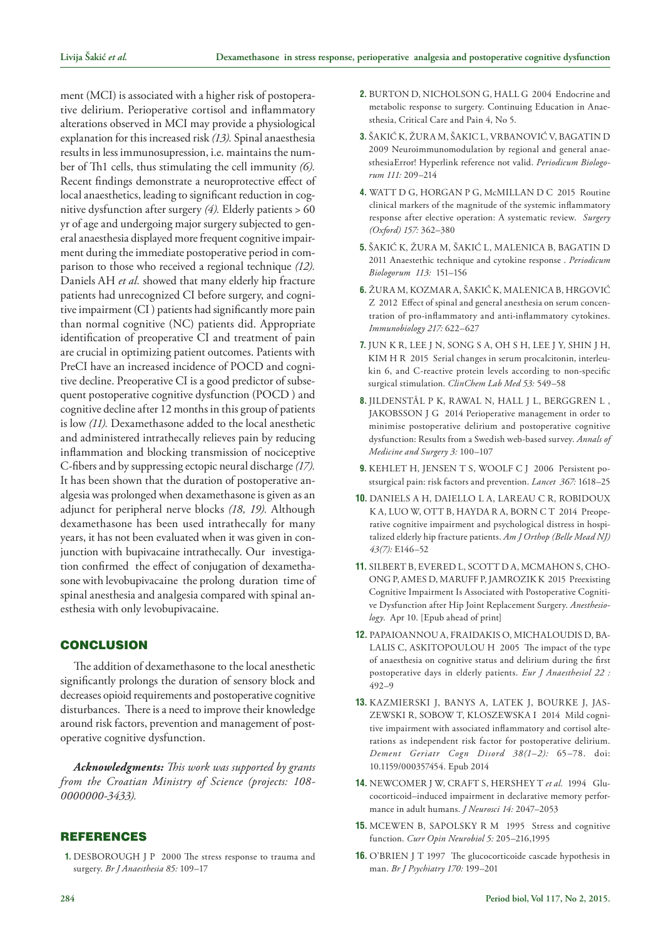ment (MCI) is associated with a higher risk of postoperative delirium. Perioperative cortisol and inflammatory alterations observed in MCI may provide a physiological explanation for this increased risk *(13).* Spinal anaesthesia results in less immunosupression, i.e. maintains the number of Th1 cells, thus stimulating the cell immunity *(6).* Recent findings demonstrate a neuroprotective effect of local anaesthetics, leading to significant reduction in cognitive dysfunction after surgery *(4).* Elderly patients > 60 yr of age and undergoing major surgery subjected to general anaesthesia displayed more frequent cognitive impairment during the immediate postoperative period in comparison to those who received a regional technique *(12).* Daniels AH *et al.* showed that many elderly hip fracture patients had unrecognized CI before surgery, and cognitive impairment (CI ) patients had significantly more pain than normal cognitive (NC) patients did. Appropriate identification of preoperative CI and treatment of pain are crucial in optimizing patient outcomes. Patients with PreCI have an increased incidence of POCD and cognitive decline. Preoperative CI is a good predictor of subsequent postoperative cognitive dysfunction (POCD ) and cognitive decline after 12 months in this group of patients is low *(11).* Dexamethasone added to the local anesthetic and administered intrathecally relieves pain by reducing inflammation and blocking transmission of nociceptive C-fibers and by suppressing ectopic neural discharge *(17).* It has been shown that the duration of postoperative analgesia was prolonged when dexamethasone is given as an adjunct for peripheral nerve blocks *(18, 19).* Although dexamethasone has been used intrathecally for many years, it has not been evaluated when it was given in conjunction with bupivacaine intrathecally. Our investigation confirmed the effect of conjugation of dexamethasone with levobupivacaine the prolong duration time of spinal anesthesia and analgesia compared with spinal anesthesia with only levobupivacaine.

## **CONCLUSION**

The addition of dexamethasone to the local anesthetic significantly prolongs the duration of sensory block and decreases opioid requirements and postoperative cognitive disturbances. There is a need to improve their knowledge around risk factors, prevention and management of postoperative cognitive dysfunction.

*Acknowledgments: This work was supported by grants from the Croatian Ministry of Science (projects: 108- 0000000-3433).*

# **REFERENCES**

**1.** DESBOROUGH J P 2000 The stress response to trauma and surgery. *Br J Anaesthesia 85:* 109–17

- **2.** BURTON D, NICHOLSON G, HALL G 2004 Endocrine and metabolic response to surgery. Continuing Education in Anaesthesia, Critical Care and Pain 4, No 5.
- **3.** ŠAKIĆ K, ŽURA M, ŠAKIC L, VRBANOVIĆ V, [BAGATIN D](http://www.scopus.com/authid/detail.url?origin=resultslist&authorId=24068755800&zone=)  2009 Neuroimmunomodulation by regional and general anaesthesiaError! Hyperlink reference not valid. *Periodicum Biologorum 111:* 209–214
- **4.** WATT D G, HORGAN P G, McMILLAN D C 2015 Routine clinical markers of the magnitude of the systemic inflammatory response after elective operation: A systematic review. *Surgery (Oxford) 157:* 362–380
- **5.** ŠAKIĆ K, ŽURA M, ŠAKIĆ L, MALENICA B, BAGATIN D 2011 [Anaestethic technique and cytokine response](http://www.scopus.com/record/display.url?eid=2-s2.0-79959653427&origin=resultslist&sort=plf-f&src=s&st1=%c5%a1aki%c4%87+k&nlo=&nlr=&nls=&sid=iuCUiL-vS1twWhNyTgswp4c%3a110&sot=b&sdt=b&sl=20&s=AUTHOR-NAME%28%c5%a1aki%c4%87+k%29&relpos=12&relpos=12&searchTerm=AUTHOR-NAME(�aki<0107> k)) . *[Periodicum](file:///M:/Periodicum-Biologorum/Per-Biol-2-2015/za_ispravak/Periodicum Biologorum)  [Biologorum](file:///M:/Periodicum-Biologorum/Per-Biol-2-2015/za_ispravak/Periodicum Biologorum) 113:* 151–156
- **6.** ŽURA M, KOZMAR A, ŠAKIĆ K, MALENICA B, HRGOVIĆ Z 2012 [Effect of spinal and general anesthesia on serum concen](http://www.scopus.com/record/display.url?eid=2-s2.0-84855175218&origin=resultslist&sort=plf-f&src=s&st1=%c5%a1aki%c4%87+k&nlo=&nlr=&nls=&sid=iuCUiL-vS1twWhNyTgswp4c%3a110&sot=b&sdt=b&sl=20&s=AUTHOR-NAME%28%c5%a1aki%c4%87+k%29&relpos=0&relpos=0&searchTerm=AUTHOR-NAME(�aki<0107> k))[tration of pro-inflammatory and anti-inflammatory cytokines.](http://www.scopus.com/record/display.url?eid=2-s2.0-84855175218&origin=resultslist&sort=plf-f&src=s&st1=%c5%a1aki%c4%87+k&nlo=&nlr=&nls=&sid=iuCUiL-vS1twWhNyTgswp4c%3a110&sot=b&sdt=b&sl=20&s=AUTHOR-NAME%28%c5%a1aki%c4%87+k%29&relpos=0&relpos=0&searchTerm=AUTHOR-NAME(�aki<0107> k)) *[Immunobiology](http://www.scopus.com/source/sourceInfo.url?sourceId=20805&origin=resultslist) 217:* 622–627
- **7.** JUN K R, LEE J N, SONG S A, OH S H, LEE J Y, SHIN J H, KIM H R 2015 Serial changes in serum procalcitonin, interleukin 6, and C-reactive protein levels according to non-specific surgical stimulation. *ClinChem Lab Med 53:* 549–58
- **8.** JILDENSTÅL P K, RAWAL N, HALL J L, BERGGREN L , JAKOBSSON J G 2014 Perioperative management in order to minimise postoperative delirium and postoperative cognitive dysfunction: Results from a Swedish web-based survey. *Annals of Medicine and Surgery 3:* 100–107
- **9.** KEHLET H, JENSEN T S, WOOLF C J 2006 Persistent postsurgical pain: risk factors and prevention. *Lancet 367:* 1618–25
- **10.** DANIELS A H, [DAIELLO L A](http://www.ncbi.nlm.nih.gov/pubmed/?term=Daiello LA%5BAuthor%5D&cauthor=true&cauthor_uid=25046191), [LAREAU C R](http://www.ncbi.nlm.nih.gov/pubmed/?term=Lareau CR%5BAuthor%5D&cauthor=true&cauthor_uid=25046191), [ROBIDOUX](http://www.ncbi.nlm.nih.gov/pubmed/?term=Robidoux KA%5BAuthor%5D&cauthor=true&cauthor_uid=25046191)  [K A,](http://www.ncbi.nlm.nih.gov/pubmed/?term=Robidoux KA%5BAuthor%5D&cauthor=true&cauthor_uid=25046191) [LUO W](http://www.ncbi.nlm.nih.gov/pubmed/?term=Luo W%5BAuthor%5D&cauthor=true&cauthor_uid=25046191), [OTT B](http://www.ncbi.nlm.nih.gov/pubmed/?term=Ott B%5BAuthor%5D&cauthor=true&cauthor_uid=25046191), HAYDA R A, [BORN C T](http://www.ncbi.nlm.nih.gov/pubmed/?term=Born CT%5BAuthor%5D&cauthor=true&cauthor_uid=25046191) 2014 Preoperative cognitive impairment and psychological distress in hospitalized elderly hip fracture patients. *[Am J Orthop \(Belle Mead NJ\)](http://www.ncbi.nlm.nih.gov/pubmed/25046191)  43(7):* E146–52
- **11.** SILBERT B, [EVERED L,](http://www.ncbi.nlm.nih.gov/pubmed/?term=Evered L%5BAuthor%5D&cauthor=true&cauthor_uid=25859906) [SCOTT D A,](http://www.ncbi.nlm.nih.gov/pubmed/?term=Scott DA%5BAuthor%5D&cauthor=true&cauthor_uid=25859906) [MCMAHON S](http://www.ncbi.nlm.nih.gov/pubmed/?term=McMahon S%5BAuthor%5D&cauthor=true&cauthor_uid=25859906), [CHO-](http://www.ncbi.nlm.nih.gov/pubmed/?term=Choong P%5BAuthor%5D&cauthor=true&cauthor_uid=25859906)[ONG P,](http://www.ncbi.nlm.nih.gov/pubmed/?term=Choong P%5BAuthor%5D&cauthor=true&cauthor_uid=25859906) [AMES D](http://www.ncbi.nlm.nih.gov/pubmed/?term=Ames D%5BAuthor%5D&cauthor=true&cauthor_uid=25859906), [MARUFF P,](http://www.ncbi.nlm.nih.gov/pubmed/?term=Maruff P%5BAuthor%5D&cauthor=true&cauthor_uid=25859906) [JAMROZIK K](http://www.ncbi.nlm.nih.gov/pubmed/?term=Jamrozik K%5BAuthor%5D&cauthor=true&cauthor_uid=25859906) 2015 Preexisting Cognitive Impairment Is Associated with Postoperative Cognitive Dysfunction after Hip Joint Replacement Surgery. *[Anesthesio](http://www.ncbi.nlm.nih.gov/pubmed/25859906)[logy](http://www.ncbi.nlm.nih.gov/pubmed/25859906)*. Apr 10. [Epub ahead of print]
- **12.** [PAPAIOANNOU A](http://www.ncbi.nlm.nih.gov/pubmed/?term=Papaioannou A%5BAuthor%5D&cauthor=true&cauthor_uid=16045136), [FRAIDAKIS O,](http://www.ncbi.nlm.nih.gov/pubmed/?term=Fraidakis O%5BAuthor%5D&cauthor=true&cauthor_uid=16045136) [MICHALOUDIS D,](http://www.ncbi.nlm.nih.gov/pubmed/?term=Michaloudis D%5BAuthor%5D&cauthor=true&cauthor_uid=16045136) [BA-](http://www.ncbi.nlm.nih.gov/pubmed/?term=Balalis C%5BAuthor%5D&cauthor=true&cauthor_uid=16045136)[LALIS C](http://www.ncbi.nlm.nih.gov/pubmed/?term=Balalis C%5BAuthor%5D&cauthor=true&cauthor_uid=16045136), [ASKITOPOULOU H](http://www.ncbi.nlm.nih.gov/pubmed/?term=Askitopoulou H%5BAuthor%5D&cauthor=true&cauthor_uid=16045136) 2005 The impact of the type of anaesthesia on cognitive status and delirium during the first postoperative days in elderly patients. *[Eur J Anaesthesiol](http://www.ncbi.nlm.nih.gov/pubmed/16045136) 22 :*  492–9
- **13.** KAZMIERSKI J, BANYS A, LATEK J, BOURKE J, JAS-ZEWSKI R, [SOBOW T,](http://www.ncbi.nlm.nih.gov/pubmed/?term=Sobow T%5BAuthor%5D&cauthor=true&cauthor_uid=24603477) KLOSZEWSKA I 2014 Mild cognitive impairment with associated inflammatory and cortisol alterations as independent risk factor for postoperative delirium. *[Dement Geriatr Cogn Disord](file:///M:/Periodicum-Biologorum/Per-Biol-2-2015/za_ispravak/Dement Geriatr Cogn Disord) 38(1*–*2):* 65–78. doi: 10.1159/000357454. Epub 2014
- **14.** NEWCOMER J W, CRAFT S, HERSHEY T *et al.* 1994 Glucocorticoid–induced impairment in declarative memory performance in adult humans. *J Neurosci 14:* 2047–2053
- **15.** MCEWEN B, SAPOLSKY R M 1995 Stress and cognitive function. *Curr Opin Neurobiol 5:* 205–216,1995
- **16.** O'BRIEN J T 1997 The glucocorticoide cascade hypothesis in man. *Br J Psychiatry 170:* 199–201